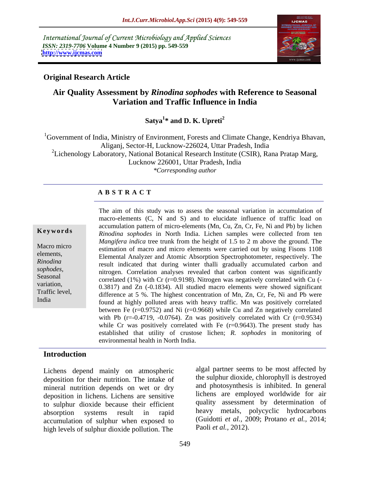International Journal of Current Microbiology and Applied Sciences *ISSN: 2319-7706* **Volume 4 Number 9 (2015) pp. 549-559 <http://www.ijcmas.com>**



# **Original Research Article**

# **Air Quality Assessment by** *Rinodina sophodes* **with Reference to Seasonal Variation and Traffic Influence in India**

Satva<sup>1\*</sup> and D. K. Upreti<sup>2</sup> **\* and D. K. Upreti<sup>2</sup>**

 ${}^{1}$ Government of India, Ministry of Environment, Forests and Climate Change, Kendriya Bhavan, Aliganj, Sector-H, Lucknow-226024, Uttar Pradesh, India <sup>2</sup>Lichenology Laboratory, National Botanical Research Institute (CSIR), Rana Pratap Marg, Lucknow 226001, Uttar Pradesh, India *\*Corresponding author*

## **A B S T R A C T**

India

The aim of this study was to assess the seasonal variation in accumulation of macro-elements (C, N and S) and to elucidate influence of traffic load on accumulation pattern of micro-elements (Mn, Cu, Zn, Cr, Fe, Ni and Pb) by lichen **Keywords** Rinodina sophodes in North India. Lichen samples were collected from ten *Mangifera indica* tree trunk from the height of 1.5 to 2 m above the ground. The Macro micro<br>
estimation of macro and micro elements were carried out by using Fisons 1108 elements,<br>
Elemental Analyzer and Atomic Absorption Spectrophotometer, respectively. The result indicated that during winter thalli gradually accumulated carbon and *Rinodina*  sophodes,<br>
Seasonal correlated (1%) with Cr (r–0.9198) Nitrogen was negatively correlated with Cu (correlated  $(1\%)$  with Cr ( $r=0.9198$ ). Nitrogen was negatively correlated with Cu (variation,  $0.3817)$  and  $Zn$  (-0.1834). All studied macro elements were showed significant Traffic level,<br>difference at 5 %. The highest concentration of Mn, Zn, Cr, Fe, Ni and Pb were found at highly polluted areas with heavy traffic. Mn was positively correlated between Fe ( $r=0.9752$ ) and Ni ( $r=0.9668$ ) while Cu and Zn negatively correlated with Pb ( $r = -0.4719$ ,  $-0.0764$ ). Zn was positively correlated with Cr ( $r = 0.9534$ ) while Cr was positively correlated with Fe  $(r=0.9643)$ . The present study has established that utility of crustose lichen; *R. sophodes* in monitoring of environmental health in North India.

# **Introduction**

Lichens depend mainly on atmospheric deposition for their nutrition. The intake of mineral nutrition depends on wet or dry deposition in lichens. Lichens are sensitive to sulphur dioxide because their efficient accumulation of sulphur when exposed to high levels of sulphur dioxide pollution. The

absorption systems result in rapid heavy metals, polycyclic hydrocarbons algal partner seems to be most affected by the sulphur dioxide, chlorophyll is destroyed and photosynthesis is inhibited. In general lichens are employed worldwide for air quality assessment by determination of (Guidotti *et al.,* 2009; Protano *et al.,* 2014; Paoli *et al.,* 2012).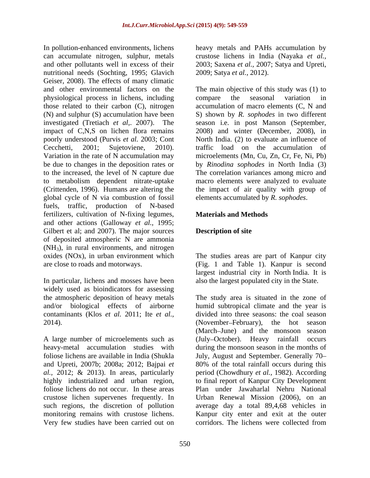In pollution-enhanced environments, lichens heavy metals and PAHs accumulation by can accumulate nitrogen, sulphur, metals crustose lichens in India (Nayaka *et al.,* and other pollutants well in excess of their 2003; Saxena *et al.,* 2007; Satya and Upreti, nutritional needs (Sochting, 1995; Glavich Geiser, 2008). The effects of many climatic physiological process in lichens, including those related to their carbon (C), nitrogen poorly understood (Purvis *et al.* 2003; Cont be due to changes in the deposition rates or global cycle of N via combustion of fossil fuels, traffic, production of N-based fertilizers, cultivation of N-fixing legumes, and other actions (Galloway *et al.,* 1995; Gilbert et al; and 2007). The major sources of deposited atmospheric N are ammonia  $(NH<sub>3</sub>)$ , in rural environments, and nitrogen oxides (NOx), in urban environment which The studies areas are part of Kanpur city are close to roads and motorways. (Fig. 1 and Table 1). Kanpur is second

In particular, lichens and mosses have been also the largest populated city in the State. widely used as bioindicators for assessing the atmospheric deposition of heavy metals<br>and/or biological effects of airborne humid subtropical climate and the year is contaminants (Klos *et al.* 2011; Ite *et al.,* 2014). (November–February), the hot season

A large number of microelements such as foliose lichens do not occur. In these areas crustose lichen supervenes frequently. In Very few studies have been carried out on

2009; Satya *et al.,* 2012).

and other environmental factors on the The main objective of this study was (1) to (N) and sulphur (S) accumulation have been S) shown by *R. sophodes* in two different investigated (Tretiach *et al*,. 2007). The season i.e. in post Manson (September, impact of C,N,S on lichen flora remains 2008) and winter (December, 2008), in Cecchetti, 2001; Sujetoviene, 2010). traffic load on the accumulation of Variation in the rate of N accumulation may microelements (Mn, Cu, Zn, Cr, Fe, Ni, Pb) to the increased, the level of N capture due The correlation variances among micro and to metabolism dependent nitrate-uptake macro elements were analyzed to evaluate (Crittenden, 1996). Humans are altering the the impact of air quality with group of compare the seasonal variation in accumulation of macro elements (C, N and North India. (2) to evaluate an influence of by *Rinodina sophodes* in North India (3) elements accumulated by *R. sophodes*.

# **Materials and Methods**

# **Description of site**

largest industrial city in North India. It is

and/or biological effects of airborne humid subtropical climate and the year is heavy-metal accumulation studies with during the monsoon season in the months of foliose lichens are available in India (Shukla July, August and September. Generally 70 and Upreti, 2007b; 2008a; 2012; Bajpai *et*  80% of the total rainfall occurs during this *al.,* 2012; & 2013). In areas, particularly period (Chowdhury *et al.,* 1982). According highly industrialized and urban region, to final report of Kanpur City Development such regions, the discretion of pollution average day a total 89,4,68 vehicles in monitoring remains with crustose lichens. Kanpur city enter and exit at the outer also the largest populated city in the State. The study area is situated in the zone of divided into three seasons: the coal season (November February), the hot season (March-June) and the monsoon season (July October). Heavy rainfall occurs Plan under Jawaharlal Nehru National Urban Renewal Mission (2006), on an corridors. The lichens were collected from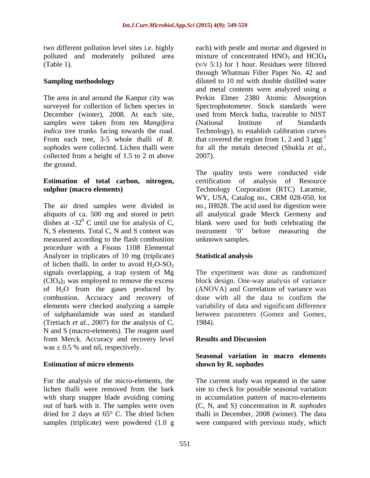December (winter), 2008. At each site, samples were taken from ten *Mangifera* (National Institute of Standards collected from a height of 1.5 to 2 m above 2007). the ground.

# **Estimation of total carbon, nitrogen,**

N, S elements. Total C, N and S content was instrument '0' before measuring the measured according to the flash combustion procedure with a Fisons 1108 Elemental Analyzer in triplicates of 10 mg (triplicate) Statistical analysis of lichen thalli. In order to avoid  $H_2O-SO_2$ <br>signals overlapping, a trap system of Mg signals overlapping, a trap system of Mg The experiment was done as randomized  $(CIO<sub>4</sub>)<sub>2</sub>$  was employed to remove the excess block design. One-way analysis of variance of  $H_2O$  from the gases produced by (ANOVA) and Correlation of variance was combustion. Accuracy and recovery of done with all the data to confirm the elements were checked analyzing a sample variability of data and significant difference of sulphanilamide was used as standard between parameters (Gomez and Gomez, (Tretiach *et al.,* 2007) for the analysis of C, N and S (macro-elements). The reagent used from Merck. Accuracy and recovery level was  $\pm$  0.5 % and nil, respectively.

# **Estimation of micro elements**

For the analysis of the micro-elements, the The current study was repeated in the same lichen thalli were removed from the bark with sharp snapper blade avoiding coming out of bark with it. The samples were oven (C, N, and S) concentration in *R. sophodes* dried for 2 days at 65° C. The dried lichen thalli in December, 2008 (winter). The data samples (triplicate) were powdered (1.0 g were compared with previous study, which

two different pollution level sites i.e. highly each) with pestle and mortar and digested in polluted and moderately polluted area mixture of concentrated  $HNO<sub>3</sub>$  and  $HClO<sub>4</sub>$ (Table 1).  $(v/v 5:1)$  for 1 hour. Residues were filtered **Sampling methodology** diluted to 10 ml with double distilled water The area in and around the Kanpur city was Perkin Elmer 2380 Atomic Absorption surveyed for collection of lichen species in Spectrophotometer. Stock standards were *indica* tree trunks facing towards the road. Technology), to establish calibration curves From each tree, 3-5 whole thalli of *R*. that covered the region from 1, 2 and 3  $\mu g g^{-1}$ *sophodes* were collected. Lichen thalli were for all the metals detected (Shukla *et al.,* through Whatman Filter Paper No. 42 and and metal contents were analyzed using a used from Merck India, traceable to NIST (National Institute of Standards 2007).

**sulphur (macro elements)** Technology Corporation (RTC) Laramie, The air dried samples were divided in no., IH028. The acid used for digestion were aliquots of ca. 500 mg and stored in petri allanalytical grade Merck Germeny and dishes at -32 $\degree$  C until use for analysis of C, blank were used for both celebrating the The quality tests were conducted vide of analysis of Resource WY, USA, Catalog no., CRM 028-050, lot instrument '0' before measuring the unknown samples.

# **Statistical analysis**

done with all the data to confirm the 1984).

## **Results and Discussion**

## **Seasonal variation in macro elements shown by R. sophodes**

site to check for possible seasonal variation in accumulation pattern of macro-elements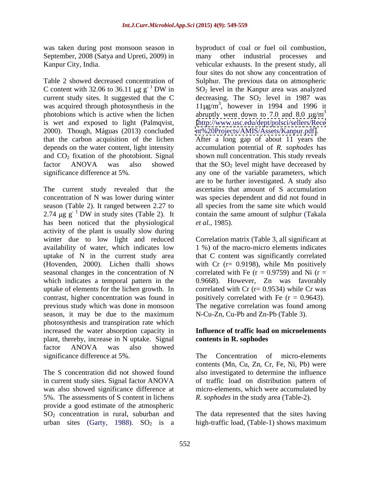was taken during post monsoon season in September, 2008 (Satya and Upreti, 2009) in

Table 2 showed decreased concentration of Sulphur. The previous data on atmospheric C content with 32.06 to 36.11  $\mu$ g g<sup>-1</sup>DW in SO<sub>2</sub> level in the Kanpur area was analyzed current study sites. It suggested that the C  $\qquad$  decreasing. The  $SO_2$  level in 1987 was was acquired through photosynthesis in the  $11\mu\text{g/m}^3$ , however in 1994 and 1996 it photobions which is active when the lichen is wet and exposed to light (Palmqvist, [\[http://www.usc.edu/dept/polsci/sellers/Rece](http://www.usc.edu/dept/polsci/sellers/Rece) 2000). Though, Máguas (2013) concluded that the carbon acquisition of the lichen After a long gap of about 11 years the depends on the water content, light intensity and  $CO<sub>2</sub>$  fixation of the photobiont. Signal factor  $ANOVA$  was also showed that the  $SO<sub>2</sub>$  level might have decreased by significance difference at 5%. any one of the variable parameters, which

The current study revealed that the concentration of N was lower during winter season (Table 2). It ranged between 2.27 to all species from the same site which would 2.74  $\mu$ g g<sup>-1</sup>DW in study sites (Table 2). It contain the same amount of sulphur (Takala has been noticed that the physiological *et al.*, 1985). activity of the plant is usually slow during winter due to low light and reduced Correlation matrix (Table 3, all significant at availability of water, which indicates low 1 %) of the macro-micro elements indicates uptake of N in the current study area that C content was significantly correlated (Hovenden, 2000). Lichen thalli shows with Cr (r= 0.9198), while Mn positively seasonal changes in the concentration of N correlated with Fe  $(r = 0.9759)$  and Ni  $(r =$ which indicates a temporal pattern in the uptake of elements for the lichen growth. In  $\qquad$  correlated with Cr ( $r = 0.9534$ ) while Cr was contrast, higher concentration was found in previous study which was done in monsoon The negative correlation was found among season, it may be due to the maximum photosynthesis and transpiration rate which increased the water absorption capacity in plant, thereby, increase in N uptake. Signal factor ANOVA was also showed significance difference at 5%. The Concentration of micro-elements

in current study sites. Signal factor ANOVA provide a good estimate of the atmospheric SO2 concentration in rural, suburban and

Kanpur City, India. vehicular exhausts. In the present study, all  $\sim$  1 DW in SO<sub>2</sub> level in the Kanpur area was analyzed byproduct of coal or fuel oil combustion, many other industrial processes and four sites do not show any concentration of abruptly went down to 7.0 and 8.0  $\mu$ g/m<sup>3</sup> 3 [nt%20Projects/AMIS/Assets/Kanpur.pdf\]](nt%20Projects/AMIS/Assets/Kanpur.pdf]).

 $^{-1}$  DW in study sites (Table 2). It contain the same amount of sulphur (Takala accumulation potential of *R. sophodes* has shown null concentration. This study reveals are to be further investigated. A study also ascertains that amount of S accumulation was species dependent and did not found in *et al.,* 1985).

> 0.9668). However, Zn was favorably positively correlated with Fe  $(r = 0.9643)$ . N-Cu-Zn, Cu-Pb and Zn-Pb (Table 3).

## **Influence of traffic load on microelements contents in R. sophodes**

The S concentration did not showed found also investigated to determine the influence was also showed significance difference at micro-elements, which were accumulated by 5%. The assessments of S content in lichens *R. sophodes* in the study area (Table-2). The Concentration of micro-elements contents (Mn, Cu, Zn, Cr, Fe, Ni, Pb) were of traffic load on distribution pattern of

urban sites (Garty, 1988).  $SO_2$  is a high-traffic load, (Table-1) shows maximum The data represented that the sites having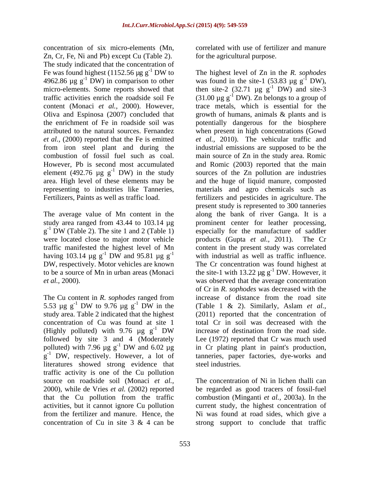concentration of six micro-elements (Mn, Zn, Cr, Fe, Ni and Pb) except Cu (Table 2). The study indicated that the concentration of Fe was found highest (1152.56  $\mu$ g g<sup>-1</sup> DW to 4962.86  $\mu$ g g<sup>-1</sup> DW) in comparison to other combustion of fossil fuel such as coal. However, Pb is second most accumulated element (492.76  $\mu$ g g<sup>-1</sup> DW) in the study

 $g^{-1}$  DW (Table 2). The site 1 and 2 (Table 1) were located close to major motor vehicle products (Gupta et al., 2011). The Cr having 103.14  $\mu$ g g<sup>-1</sup> DW and 95.81  $\mu$ g g<sup>-1</sup> DW, respectively. Motor vehicles are known to be a source of Mn in urban areas (Monaci

The Cu content in *R. sophodes* ranged from 5.53  $\mu$ g g<sup>-1</sup> DW to 9.76  $\mu$ g g<sup>-1</sup> DW in the study area. Table 2 indicated that the highest concentration of Cu was found at site 1 (Highly polluted) with 9.76  $\mu$ g g<sup>-1</sup> DW increase of destination from the road side.<br>
followed by site 3 and 4 (Moderately Lee (1972) reported that Cr was much used literatures showed strong evidence that traffic activity is one of the Cu pollution source on roadside soil (Monaci *et al.,* 2000), while de Vries *et al.* (2002) reported that the Cu pollution from the traffic combustion (Minganti *et al.,* 2003a). In the activities, but it cannot ignore Cu pollution current study, the highest concentration of from the fertilizer and manure. Hence, the Ni was found at road sides, which give a concentration of Cu in site 3 & 4 can be strong support to conclude that traffic

correlated with use of fertilizer and manure for the agricultural purpose.

 DW to The highest level of Zn in the *R. sophodes* 4962.86  $\mu$ g g<sup>-1</sup> DW) in comparison to other was found in the site-1 (53.83  $\mu$ g g<sup>-1</sup> DW), micro-elements. Some reports showed that then site-2  $(32.71 \mu g g^{-1}$  DW) and site-3 traffic activities enrich the roadside soil Fe  $(31.00 \,\mu g g^{-1} D W)$ . Zn belongs to a group of content (Monaci *et al.,* 2000). However, trace metals, which is essential for the Oliva and Espinosa (2007) concluded that growth of humans, animals & plants and is the enrichment of Fe in roadside soil was potentially dangerous for the biosphere attributed to the natural sources. Fernandez when present in high concentrations (Gowd *et al.,* (2000) reported that the Fe is emitted *et al.,* 2010). The vehicular traffic and from iron steel plant and during the industrial emissions are supposed to be the <sup>-1</sup> DW) in the study sources of the Zn pollution are industries area. High level of these elements may be and the huge of liquid manure, composted representing to industries like Tanneries, materials and agro chemicals such as Fertilizers, Paints as well as traffic load. fertilizers and pesticides in agriculture. The The average value of Mn content in the along the bank of river Ganga. It is a study area ranged from 43.44 to 103.14 µg prominent center for leather processing,  $^{-1}$  DW (Table 2). The site 1 and 2 (Table 1) especially for the manufacture of saddler traffic manifested the highest level of Mn content in the present study was correlated <sup>-1</sup> DW and 95.81  $\mu$ g g<sup>-1</sup> with industrial as well as traffic influence. -1 with industrial as well as traffic influence. DW, respectively. Motor vehicles are known The Cr concentration was found highest at *et al.,* 2000). was observed that the average concentration <sup>-1</sup> DW to 9.76  $\mu$ g g<sup>-1</sup> DW in the (Table 1 & 2). Similarly, Aslam *et al.*, <sup>-1</sup> DW in the (Table 1 & 2). Similarly, Aslam *et al.*, <sup>-1</sup> DW increase of destination from the road side. followed by site 3 and 4 (Moderately Lee (1972) reported that Cr was much used polluted) with 7.96  $\mu$ g g<sup>-1</sup> DW and 6.02  $\mu$ g in Cr plating plant in paint's production,  $^{-1}$  DW and 6.02  $\mu$ g in Cr plating plant in paint's production,  $g^{-1}$  DW, respectively. However, a lot of tanneries, paper factories, dye-works and  $^{-1}$  DW), -1 DW) and site-3 main source of Zn in the study area. Romic and Romic (2003) reported that the main present study is represented to 300 tanneries especially for the manufacture of saddler products (Gupta *et al.*, 2011). the site-1 with 13.22  $\mu$ g g<sup>-1</sup> DW. However, it of Cr in *R. sophodes* was decreased with the increase of distance from the road site (Table 1 & 2). Similarly, Aslam *et al.,* (2011) reported that the concentration of total Cr in soil was decreased with the increase of destination from the road side. steel industries.

> The concentration of Ni in lichen thalli can be regarded as good tracers of fossil-fuel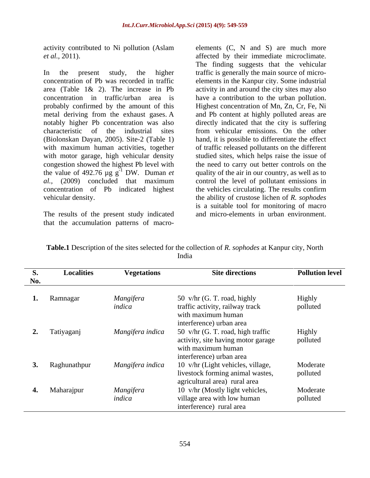activity contributed to Ni pollution (Aslam elements (C, N and S) are much more

In the present study, the higher traffic is generally the main source of micro concentration of Pb was recorded in traffic area (Table 1& 2). The increase in Pb concentration in traffic/urban area is havea contribution to the urban pollution. probably confirmed by the amount of this metal deriving from the exhaust gases. A and Pb content at highly polluted areas are notably higher Pb concentration was also directly indicated that the city is suffering characteristic of the industrial sites from vehicular emissions. On the other (Biolonskan Dayan, 2005). Site-2 (Table 1) with maximum human activities, together of traffic released pollutants on the different with motor garage, high vehicular density studied sites, which helps raise the issue of congestion showed the highest Pb level with<br>the value of 492.76  $\mu$ g g<sup>-1</sup> DW. Duman *et* the value of 492.76  $\mu$ g g<sup>-1</sup> DW. Duman *et* quality of the air in our country, as well as to *al.,* (2009) concluded that maximum control the level of pollutant emissions in concentration of Pb indicated highest the vehicles circulating. The results confirm

The results of the present study indicated

*et al.,* 2011). affected by their immediate microclimate. vehicular density. the ability of crustose lichen of *R. sophodes* activity contributed to Ni pollution (Aslam elements (C, N and S) are much more *et al.*, 2011).<br>
The finding suggeses that the vehiculat microclimate.<br>
The finding suggeses that the vehicular<br>
The micros- The inding sugg The finding suggests that the vehicular elements in the Kanpur city. Some industrial activity in and around the city sites may also Highest concentration of Mn, Zn, Cr, Fe, Ni hand, it is possible to differentiate the effect the need to carry out better controls on the is a suitable tool for monitoring of macro and micro-elements in urban environment.

| <b>S.</b><br>No. | <b>Localities</b> | <b>Vegetations</b> | <b>Site directions</b>                                | <b>Pollution level</b> |
|------------------|-------------------|--------------------|-------------------------------------------------------|------------------------|
|                  |                   |                    |                                                       |                        |
|                  | 1. Ramnagar       | Mangifera          | 50 v/hr (G. T. road, highly                           | Highly                 |
|                  |                   | indica             | traffic activity, railway track<br>with maximum human | polluted               |
|                  |                   |                    | interference) urban area                              |                        |
|                  | 2. Tatiyaganj     | Mangifera indica   | 50 v/hr (G. T. road, high traffic                     | Highly                 |
|                  |                   |                    | activity, site having motor garage                    | polluted               |
|                  |                   |                    | with maximum human<br>interference) urban area        |                        |
|                  | 3. Raghunathpur   | Mangifera indica   | 10 v/hr (Light vehicles, village,                     | Moderate               |
|                  |                   |                    | livestock forming animal wastes,                      | polluted               |
|                  |                   |                    | agricultural area) rural area                         |                        |
|                  | 4. Maharajpur     | Mangifera          | 10 v/hr (Mostly light vehicles,                       | Moderate               |
|                  |                   | indica             | village area with low human                           | polluted               |
|                  |                   |                    | interference) rural area                              |                        |

**Table.1** Description of the sites selected for the collection of *R. sophodes* at Kanpur city, North India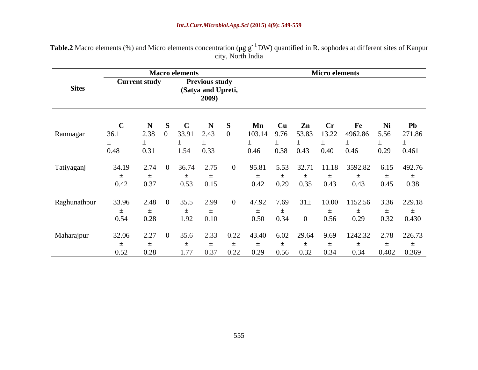| Table.2 Macro elements (%) a<br>(%) and Micro elements concentration ( $\mu$ g g <sup>-1</sup> DW) quantified in R. sophodes at different sites of Kanpur |  |
|-----------------------------------------------------------------------------------------------------------------------------------------------------------|--|
| . North India                                                                                                                                             |  |

|              |                    |                      | <b>Macro elements</b> |                        |                                |              |                      |                      |                     | <b>Micro elements</b> |                 |              |                       |
|--------------|--------------------|----------------------|-----------------------|------------------------|--------------------------------|--------------|----------------------|----------------------|---------------------|-----------------------|-----------------|--------------|-----------------------|
| <b>Sites</b> |                    | <b>Current study</b> |                       | (Satya and Upreti,     | <b>Previous study</b><br>2009) |              |                      |                      |                     |                       |                 |              |                       |
| Ramnagar     | 36.1<br>土<br>0.48  | N<br>2.38<br>0.31    |                       | 33.9<br>1.54           | 2.43<br>0.33                   |              | Mn<br>103.14<br>0.46 | – Cu<br>9.76<br>0.38 | Zn<br>53.83<br>0.43 | – Cr<br>13.22<br>0.40 | 4962.86<br>0.46 | 5.56<br>0.29 | Pb<br>271.86<br>0.461 |
| Tatiyaganj   | 34.19<br>土<br>0.42 | 2.74<br>0.37         |                       | 36.74<br>$\pm$<br>0.53 | $\angle .75$<br>0.15           |              | 95.81<br>0.42        | 5.53<br>0.29         | 0.35                | 11.18<br>0.43         | 3592.82<br>0.43 | 6.15<br>0.45 | 492.76<br>$+$<br>0.38 |
| Raghunathpur | 33.96<br>0.54      | 2.48.<br>0.28        |                       | 1.92                   | -QQ<br>0.10                    |              | 0.50                 | .69<br>0.34          | $31+$<br>-0         | 10.00<br>0.56         | 152.56<br>0.29  | 3.36<br>0.32 | 229.18<br>0.430       |
| Maharajpur   | 32.06<br>—<br>0.52 | 0.28                 |                       | 1.77                   | 2.33<br>0.3/                   | 0. <i>22</i> | 0.29                 | 0.56                 | 29.64               | 9.69                  | 1242 32         | 0.402        | 2.78 226.73<br>0.369  |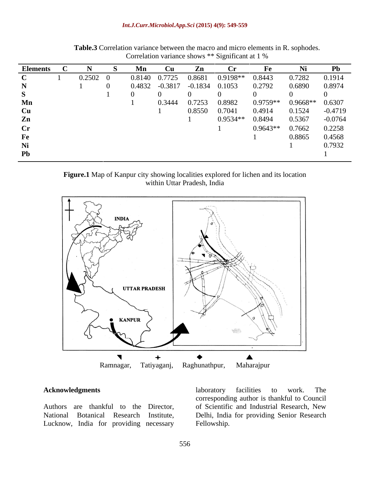| <b>Elements</b>           |        | Mn     | Cu     |                               | $C_{\mathbf{r}}$ |            |                   | P <sub>b</sub> |
|---------------------------|--------|--------|--------|-------------------------------|------------------|------------|-------------------|----------------|
|                           | 0.2502 | 0.8140 | 0.7725 | 0.8681                        | $0.9198**$       | 0.8443     | 0.7282            | 0.1914         |
|                           |        |        |        | 0.4832 -0.3817 -0.1834 0.1053 |                  | 0.2792     | 0.6890            | 0.8974         |
|                           |        |        |        |                               |                  |            |                   |                |
| Mn                        |        |        | 0.3444 | 0.7253                        | 0.8982           | $0.9759**$ | $0.9668**$ 0.6307 |                |
| $\mathbf{C}_{\mathbf{H}}$ |        |        |        | 0.8550                        | 0.7041           | 0.4914     | 0.1524            | $-0.4719$      |
| Zn                        |        |        |        |                               | $0.9534**$       | 0.8494     | 0.5367            | $-0.0764$      |
|                           |        |        |        |                               |                  | $0.9643**$ | 0.7662            | 0.2258         |
| Fe                        |        |        |        |                               |                  |            | 0.8865            | 0.4568         |
|                           |        |        |        |                               |                  |            |                   | 0.7932         |
| Pb                        |        |        |        |                               |                  |            |                   |                |

**Table.3** Correlation variance between the macro and micro elements in R. sophodes. Correlation variance shows \*\* Significant at 1 %

### **Figure.1** Map of Kanpur city showing localities explored for lichen and its location within Uttar Pradesh, India



Lucknow, India for providing necessary Fellowship.

**Acknowledgments Acknowledgments Acknowledgments Acknowledgments Acknowledgments Acknowledgments Acknowledgments Acknowledgments Acknowledgments Acknowledgments Acknowledgments Acknowledgements Ackn** Authors are thankful to the Director, of Scientific and Industrial Research, New National Botanical Research Institute, Delhi, India for providing Senior Research laboratory facilities to work. The corresponding author is thankful to Council Fellowship.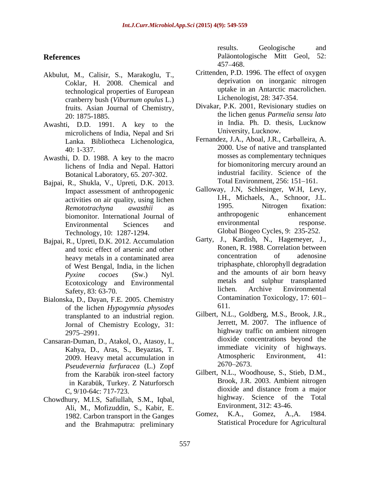- Akbulut, M., Calisir, S., Marakoglu, T., Coklar, H. 2008. Chemical and technological properties of European cranberry bush (*Viburnum opulus* L.) fruits. Asian Journal of Chemistry,
- microlichens of India, Nepal and Sri Lanka. Bibliotheca Lichenologica,
- Awasthi, D. D. 1988. A key to the macro lichens of India and Nepal. Hattori Botanical Laboratory, 65. 207-302.
- Bajpai, R., Shukla, V., Upreti, D.K. 2013. Impact assessment of anthropogenic Technology, 10: 1287-1294.
- Bajpai, R., Upreti, D.K. 2012. Accumulation heavy metals in a contaminated area of West Bengal, India, in the lichen
- Bialonska, D., Dayan, F.E. 2005. Chemistry Cont<br>
of the lichen Hypogymnic physodes 611. of the lichen *Hypogymnia physodes* transplanted to an industrial region. Jornal of Chemistry Ecology, 31:
- Cansaran-Duman, D., Atakol, O., Atasoy, I., 2009. Heavy metal accumulation in Atmospheric<br>Psaudavarnia furfusacea (J.) Zonf 2670–2673. *Pseudevernia furfuracea* (L.) Zopf in Karabük, Turkey. Z Naturforsch
- Chowdhury, M.I.S, Safiullah, S.M., Iqbal, Ali, M., Mofizuddin, S., Kabir, E.<br>1982 Carbon transport in the Ganges Gomez, K.A., Gomez, A.,A. 1984. 1982. Carbon transport in the Ganges and the Brahmaputra: preliminary

**References** Paläontologische Mitt Geol, 52: results. Geologische and 457 468.

- Crittenden, P.D. 1996. The effect of oxygen deprivation on inorganic nitrogen uptake in an Antarctic macrolichen. Lichenologist, 28: 347-354.
- 20: 1875-1885. the lichen genus *Parmelia sensu lato* Awashti, D.D. 1991. A key to the in India. Ph. D. thesis, Lucknow Divakar, P.K. 2001, Revisionary studies on in India. Ph. D. thesis, Lucknow University, Lucknow.
	- 40: 1-337. 2000. Use of native and transplanted Fernandez, J.A., Aboal, J.R., Carballeira, A. mosses as complementary techniques for biomonitoring mercury around an industrial facility. Science of the Total Environment, 256: 151-161.
	- activities on air quality, using lichen **1.1.** Michaels, A., Schnoor, J.L.<br>Remototrachypa awasthii as 1995. Nitrogen fixation: *Remototrachyna awasthii* as biomonitor. International Journal of anthropogenic enhancement<br>Environmental Sciences and environmental response. Environmental Sciences and environmental response. Galloway, J.N, Schlesinger, W.H, Levy, I.H., Michaels, A., Schnoor, J.L. 1995. Nitrogen fixation: anthropogenic enhancement environmental response. Global Biogeo Cycles, 9: 235-252.
	- and toxic effect of arsenic and other **Exercise Ronen, R. 1988.** Correlation between<br>heavy metals in a contaminated area **concentration** of adenosine *Pyxine cocoes* (Sw.) Nyl. and the amounts of air born heavy<br>Ecotoxicology and Environmental and sulphur transplanted Safety, 83: 63-70. The contraction of the state of the state of the state of the state of the state of the state of the state of the state of the state of the state of the state of the state of the state of the state of th Garty, J., Kardish, N., Hagemeyer, J., Ronen, R. 1988. Correlation between concentration of adenosine triphasphate, chlorophyll degradation and the amounts of air born heavy metals and sulphur transplanted lichen. Archive Environmental Contamination Toxicology, 17: 601 611.
	- 2975 2991. highway traffic on ambient nitrogen Kahya, D., Aras, S., Beyaztas, T. The immediate vicinity of highways.<br>
	2000 Heavy metal accumulation in Atmospheric Environment, 41: Gilbert, N.L., Goldberg, M.S., Brook, J.R., Jerrett, M. 2007. The influence of dioxide concentrations beyond the immediate vicinity of highways. Atmospheric Environment, 41: 2670 2673.
	- from the Karabük iron-steel factory **CHIDERT, N.L., Woodhouse, S., Stieb, D.M.**, C, 9/10-64c: 717-723. dioxide and distance from a major Gilbert, N.L., Woodhouse, S., Stieb, D.M., Brook, J.R. 2003. Ambient nitrogen dioxide and distance from a major highway. Science of the Total Environment, 312: 43-46.
		- Gomez, A.,A. Statistical Procedure for Agricultural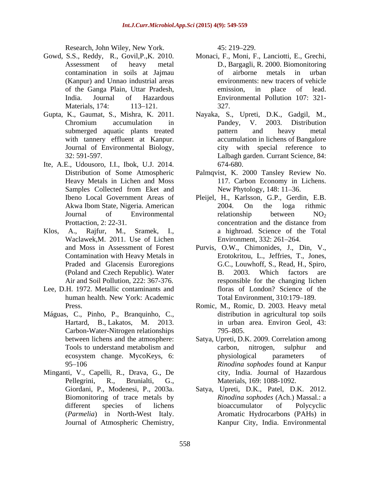Research*,* John Wiley, New York.

- 
- Journal of Environmental Biology,
- Ite, A.E., Udousoro, I.I., Ibok, U.J. 2014.
- Waclawek,M. 2011. Use of Lichen
- Lee, D.H. 1972. Metallic contaminants and
- Máguas, C., Pinho, P., Branquinho, C., Carbon-Water-Nitrogen relationships
- Minganti, V., Capelli, R., Drava, G., De Journal of Atmospheric Chemistry,

45: 219 229.

- Gowd, S.S., Reddy, R., Govil,P.,K. 2010. Monaci, F., Moni, F., Lanciotti, E., Grechi, Assessment of heavy metal D., Bargagli, R. 2000. Biomonitoring contamination in soils at Jajmau (Kanpur) and Unnao industrial areas of the Ganga Plain, Uttar Pradesh, India. Journal of Hazardous Environmental Pollution 107: 321- Materials, 174: 113–121. 327. of airborne metals in urban environments: new tracers of vehicle emission, in place of lead. 327.
- Gupta, K., Gaumat, S., Mishra, K. 2011. Nayaka, S., Upreti, D.K., Gadgil, M., Chromium accumulation in Pandey, V. 2003. Distribution submerged aquatic plants treated by pattern and heavy metal with tannery effluent at Kanpur. accumulation in lichens of Bangalore 32: 591-597. Lalbagh garden. Currant Science, 84: Pandey, V. 2003. Distribution pattern and heavy metal city with special reference to 674-680.
	- Distribution of Some Atmospheric Palmqvist, K. 2000 Tansley Review No. Heavy Metals in Lichen and Moss 117. Carbon Economy in Lichens. Samples Collected from Eket and New Phytology, 148: 11–36. New Phytology, 148: 11–36.
- Ibeno Local Government Areas of Pleijel, H., Karlsson, G.P., Gerdin, E.B. Akwa Ibom State, Nigeria. American Journal of Environmental  $\overline{C}$  relationship between  $NO_2$ Prottaction, 2: 22-31. concentration and the distance from Klos, A., Rajfur, M., Sramek, I., a highroad. Science of the Total 2004. On the loga rithmic relationship between  $NO<sub>2</sub>$ concentration and the distance from Environment, 332: 261 264.
	- and Moss in Assessment of Forest Purvis, O.W., Chimonides, J., Din, V., Contamination with Heavy Metals in Erotokritou, L., Jeffries, T., Jones, Praded and Glacensis Euroregions G.C., Louwhoff, S., Read, H., Spiro, (Poland and Czech Republic). Water Air and Soil Pollution, 222: 367-376. responsible for the changing lichen human health. New York: Academic B. 2003. Which factors are floras of London? Science of the Total Environment, 310:179–189.
	- Press. Romic, M., Romic, D. 2003. Heavy metal Hartard, B., Lakatos, M. 2013. in urban area. Environ Geol, 43: distribution in agricultural top soils  $795 - 805.$
	- between lichens and the atmosphere: Satya, Upreti, D.K. 2009. Correlation among Tools to understand metabolism and carbon, nitrogen, sulphur and ecosystem change. MycoKeys, 6: 95 106 *Rinodina sophodes* found at Kanpur Pellegrini, R., Brunialti, G., Materials, 169: 1088-1092. carbon, nitrogen, sulphur and physiological parameters of city, India. Journal of Hazardous
	- Giordani, P., Modenesi, P., 2003a. Satya, Upreti, D.K., Patel, D.K. 2012. Biomonitoring of trace metals by *Rinodina sophodes* (Ach.) Massal.: a different species of lichens bioaccumulator of Polycyclic (*Parmelia*) in North-West Italy. Aromatic Hydrocarbons (PAHs) in bioaccumulator of Polycyclic Kanpur City, India. Environmental